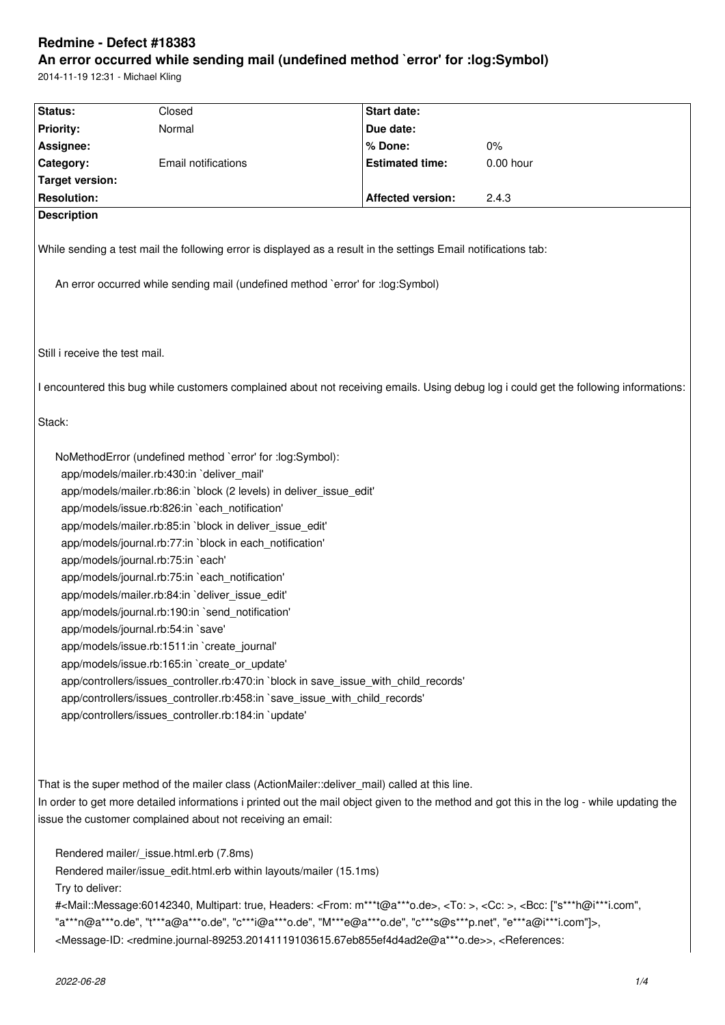# **Redmine - Defect #18383**

# **An error occurred while sending mail (undefined method `error' for :log:Symbol)**

2014-11-19 12:31 - Michael Kling

| Status:                        | Closed                                                                                                                                                                                                                                                                                                                                                                                                                                                                                                                                                                                                                                                                                                                                                                                                                                                                                                                         | Start date:              |                                                                                                                                           |
|--------------------------------|--------------------------------------------------------------------------------------------------------------------------------------------------------------------------------------------------------------------------------------------------------------------------------------------------------------------------------------------------------------------------------------------------------------------------------------------------------------------------------------------------------------------------------------------------------------------------------------------------------------------------------------------------------------------------------------------------------------------------------------------------------------------------------------------------------------------------------------------------------------------------------------------------------------------------------|--------------------------|-------------------------------------------------------------------------------------------------------------------------------------------|
| <b>Priority:</b>               | Normal                                                                                                                                                                                                                                                                                                                                                                                                                                                                                                                                                                                                                                                                                                                                                                                                                                                                                                                         | Due date:                |                                                                                                                                           |
| Assignee:                      |                                                                                                                                                                                                                                                                                                                                                                                                                                                                                                                                                                                                                                                                                                                                                                                                                                                                                                                                | % Done:                  | 0%                                                                                                                                        |
| Category:                      | Email notifications                                                                                                                                                                                                                                                                                                                                                                                                                                                                                                                                                                                                                                                                                                                                                                                                                                                                                                            | <b>Estimated time:</b>   | 0.00 hour                                                                                                                                 |
| <b>Target version:</b>         |                                                                                                                                                                                                                                                                                                                                                                                                                                                                                                                                                                                                                                                                                                                                                                                                                                                                                                                                |                          |                                                                                                                                           |
| <b>Resolution:</b>             |                                                                                                                                                                                                                                                                                                                                                                                                                                                                                                                                                                                                                                                                                                                                                                                                                                                                                                                                | <b>Affected version:</b> | 2.4.3                                                                                                                                     |
| <b>Description</b>             |                                                                                                                                                                                                                                                                                                                                                                                                                                                                                                                                                                                                                                                                                                                                                                                                                                                                                                                                |                          |                                                                                                                                           |
|                                | While sending a test mail the following error is displayed as a result in the settings Email notifications tab:                                                                                                                                                                                                                                                                                                                                                                                                                                                                                                                                                                                                                                                                                                                                                                                                                |                          |                                                                                                                                           |
|                                | An error occurred while sending mail (undefined method `error' for :log:Symbol)                                                                                                                                                                                                                                                                                                                                                                                                                                                                                                                                                                                                                                                                                                                                                                                                                                                |                          |                                                                                                                                           |
| Still i receive the test mail. |                                                                                                                                                                                                                                                                                                                                                                                                                                                                                                                                                                                                                                                                                                                                                                                                                                                                                                                                |                          |                                                                                                                                           |
|                                |                                                                                                                                                                                                                                                                                                                                                                                                                                                                                                                                                                                                                                                                                                                                                                                                                                                                                                                                |                          | I encountered this bug while customers complained about not receiving emails. Using debug log i could get the following informations:     |
| Stack:                         |                                                                                                                                                                                                                                                                                                                                                                                                                                                                                                                                                                                                                                                                                                                                                                                                                                                                                                                                |                          |                                                                                                                                           |
|                                | NoMethodError (undefined method `error' for :log:Symbol):<br>app/models/mailer.rb:430:in `deliver_mail'<br>app/models/mailer.rb:86:in `block (2 levels) in deliver_issue_edit'<br>app/models/issue.rb:826:in `each_notification'<br>app/models/mailer.rb:85:in `block in deliver_issue_edit'<br>app/models/journal.rb:77:in `block in each_notification'<br>app/models/journal.rb:75:in `each'<br>app/models/journal.rb:75:in `each notification'<br>app/models/mailer.rb:84:in `deliver issue edit'<br>app/models/journal.rb:190:in `send_notification'<br>app/models/journal.rb:54:in `save'<br>app/models/issue.rb:1511:in `create_journal'<br>app/models/issue.rb:165:in `create or update'<br>app/controllers/issues_controller.rb:470:in `block in save_issue_with_child_records'<br>app/controllers/issues_controller.rb:458:in `save_issue_with_child_records'<br>app/controllers/issues_controller.rb:184:in `update' |                          |                                                                                                                                           |
|                                | That is the super method of the mailer class (ActionMailer::deliver_mail) called at this line.<br>issue the customer complained about not receiving an email:                                                                                                                                                                                                                                                                                                                                                                                                                                                                                                                                                                                                                                                                                                                                                                  |                          | In order to get more detailed informations i printed out the mail object given to the method and got this in the log - while updating the |
| Try to deliver:                | Rendered mailer/_issue.html.erb (7.8ms)<br>Rendered mailer/issue_edit.html.erb within layouts/mailer (15.1ms)                                                                                                                                                                                                                                                                                                                                                                                                                                                                                                                                                                                                                                                                                                                                                                                                                  |                          |                                                                                                                                           |
|                                | # <mail::message:60142340, <from:="" headers:="" m***t@a***o.de="" multipart:="" true,="">, <to:>, <cc:>, <bcc: ["s***h@i***i.com",<br="">"a***n@a***o.de", "t***a@a***o.de", "c***i@a***o.de", "M***e@a***o.de", "c***s@s***p.net", "e***a@i***i.com"]&gt;,<br/><message-id: <redmine.journal-89253.20141119103615.67eb855ef4d4ad2e@a***o.de="">&gt;, <references:< td=""><th></th><td></td></references:<></message-id:></bcc:></cc:></to:></mail::message:60142340,>                                                                                                                                                                                                                                                                                                                                                                                                                                                        |                          |                                                                                                                                           |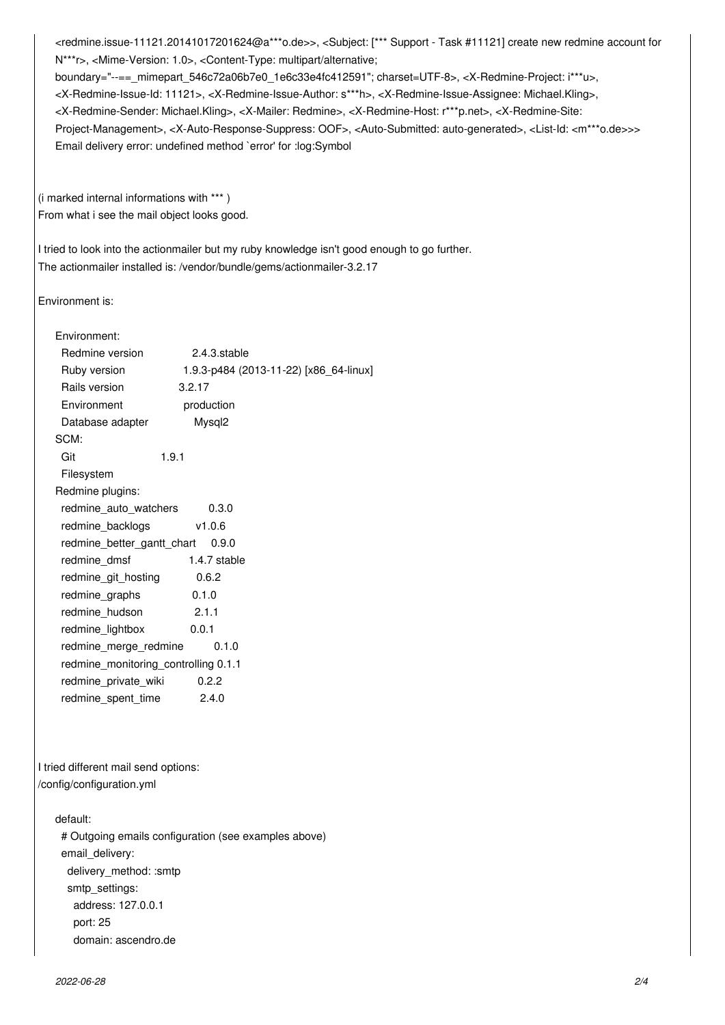<redmine.issue-11121.20141017201624@a\*\*\*o.de>>, <Subject: [\*\*\* Support - Task #11121] create new redmine account for N\*\*\*r>, <Mime-Version: 1.0>, <Content-Type: multipart/alternative; boundary="--==\_mimepart\_546c72a06b7e0\_1e6c33e4fc412591"; charset=UTF-8>, <X-Redmine-Project: i\*\*\*u>, <X-Redmine-Issue-Id: 11121>, <X-Redmine-Issue-Author: s\*\*\*h>, <X-Redmine-Issue-Assignee: Michael.Kling>, <X-Redmine-Sender: Michael.Kling>, <X-Mailer: Redmine>, <X-Redmine-Host: r\*\*\*p.net>, <X-Redmine-Site: Project-Management>, <X-Auto-Response-Suppress: OOF>, <Auto-Submitted: auto-generated>, <List-Id: <m\*\*\*o.de>>> Email delivery error: undefined method `error' for :log:Symbol

(i marked internal informations with \*\*\* ) From what i see the mail object looks good.

I tried to look into the actionmailer but my ruby knowledge isn't good enough to go further. The actionmailer installed is: /vendor/bundle/gems/actionmailer-3.2.17

Environment is:

| Environment:                         |                                        |
|--------------------------------------|----------------------------------------|
| Redmine version                      | 2.4.3.stable                           |
| Ruby version                         | 1.9.3-p484 (2013-11-22) [x86 64-linux] |
| Rails version                        | 3.2.17                                 |
| Environment                          | production                             |
| Database adapter                     | Mysql <sub>2</sub>                     |
| SCM:                                 |                                        |
| Git                                  | 1.9.1                                  |
| Filesystem                           |                                        |
| Redmine plugins:                     |                                        |
| redmine auto watchers                | 0.3.0                                  |
| redmine_backlogs                     | v1.0.6                                 |
| redmine_better_gantt_chart           | 0.9.0                                  |
| redmine dmsf                         | 1.4.7 stable                           |
| redmine_git_hosting                  | 0.6.2                                  |
| redmine_graphs                       | 0.1.0                                  |
| redmine_hudson                       | 2.1.1                                  |
| redmine_lightbox                     | 0.0.1                                  |
| redmine_merge_redmine                | 0.1.0                                  |
| redmine monitoring controlling 0.1.1 |                                        |
| redmine private wiki                 | 0.2.2                                  |
| redmine spent time                   | 2.4.0                                  |
|                                      |                                        |
|                                      |                                        |

I tried different mail send options: /config/configuration.yml

### default:

 # Outgoing emails configuration (see examples above) email\_delivery: delivery\_method: :smtp smtp\_settings: address: 127.0.0.1 port: 25 domain: ascendro.de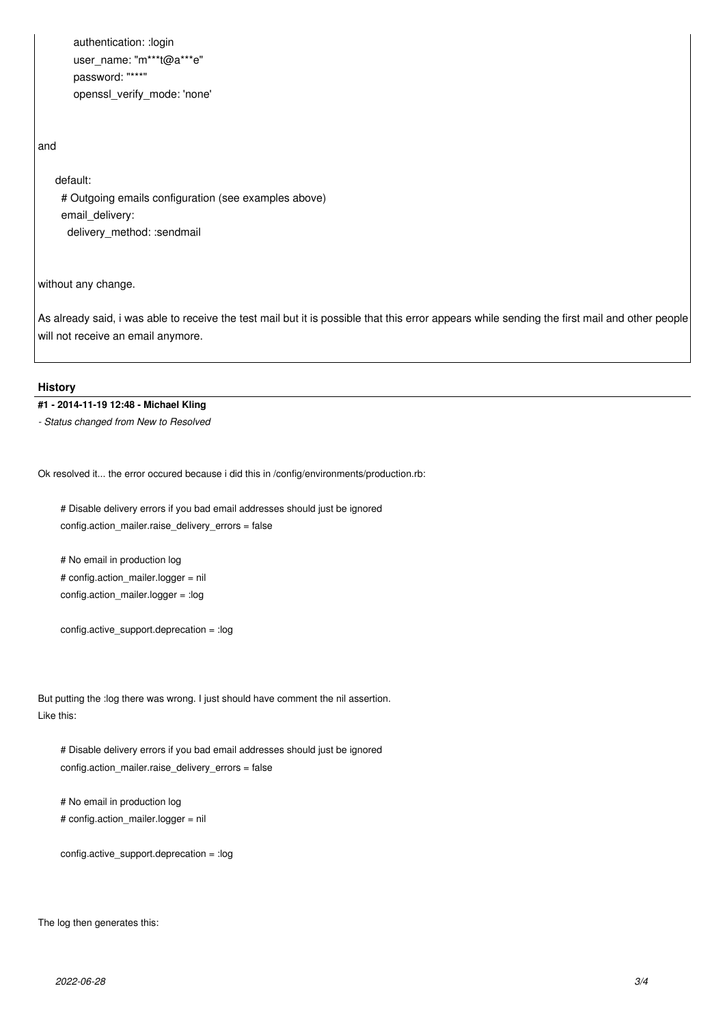authentication: :login user\_name: "m\*\*\*t@a\*\*\*e" password: "\*\*\*" openssl\_verify\_mode: 'none'

#### and

## default:

 # Outgoing emails configuration (see examples above) email delivery: delivery\_method: :sendmail

without any change.

As already said, i was able to receive the test mail but it is possible that this error appears while sending the first mail and other people will not receive an email anymore.

### **History**

# **#1 - 2014-11-19 12:48 - Michael Kling**

*- Status changed from New to Resolved*

Ok resolved it... the error occured because i did this in /config/environments/production.rb:

 # Disable delivery errors if you bad email addresses should just be ignored config.action\_mailer.raise\_delivery\_errors = false

 # No email in production log # config.action\_mailer.logger = nil config.action\_mailer.logger = :log

config.active\_support.deprecation = :log

But putting the :log there was wrong. I just should have comment the nil assertion. Like this:

 # Disable delivery errors if you bad email addresses should just be ignored config.action\_mailer.raise\_delivery\_errors = false

 # No email in production log # config.action\_mailer.logger = nil

config.active\_support.deprecation = :log

The log then generates this: